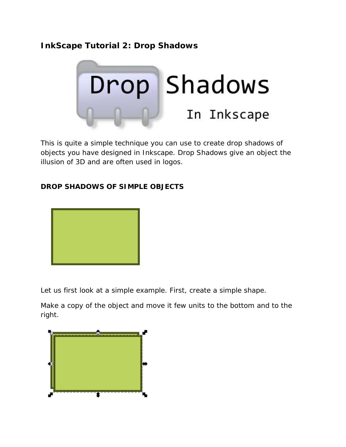# **InkScape Tutorial 2: Drop Shadows**



This is quite a simple technique you can use to create drop shadows of objects you have designed in Inkscape. Drop Shadows give an object the illusion of 3D and are often used in logos.

#### **DROP SHADOWS OF SIMPLE OBJECTS**



Let us first look at a simple example. First, create a simple shape.

Make a copy of the object and move it few units to the bottom and to the right.

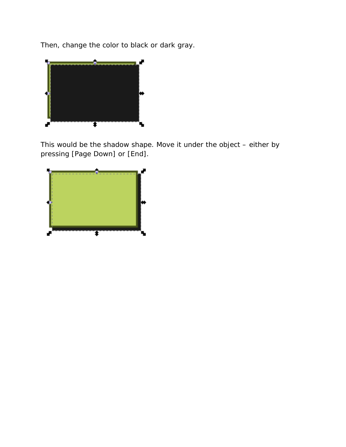Then, change the color to black or dark gray.



This would be the shadow shape. Move it under the object – either by pressing [Page Down] or [End].

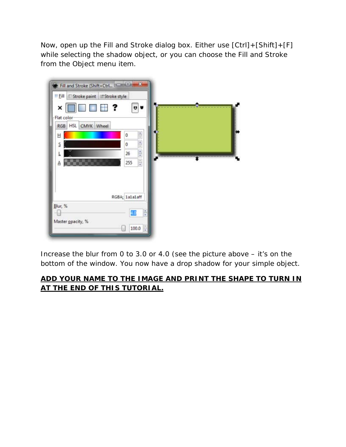Now, open up the Fill and Stroke dialog box. Either use [Ctrl]+[Shift]+[F] while selecting the shadow object, or you can choose the Fill and Stroke from the Object menu item.



Increase the blur from 0 to 3.0 or 4.0 (see the picture above – it's on the bottom of the window. You now have a drop shadow for your simple object.

## **ADD YOUR NAME TO THE IMAGE AND PRINT THE SHAPE TO TURN IN AT THE END OF THIS TUTORIAL.**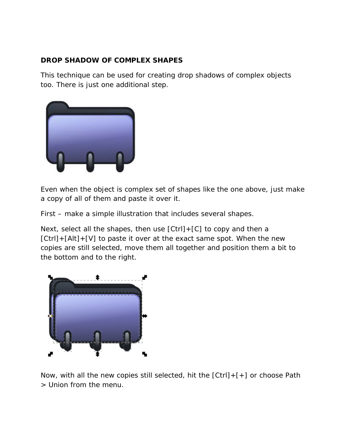#### **DROP SHADOW OF COMPLEX SHAPES**

This technique can be used for creating drop shadows of complex objects too. There is just one additional step.



Even when the object is complex set of shapes like the one above, just make a copy of all of them and paste it over it.

First – make a simple illustration that includes several shapes.

Next, select all the shapes, then use [Ctrl]+[C] to copy and then a [Ctrl]+[Alt]+[V] to paste it over at the exact same spot. When the new copies are still selected, move them all together and position them a bit to the bottom and to the right.



Now, with all the new copies still selected, hit the [Ctrl]+[+] or choose Path > Union from the menu.